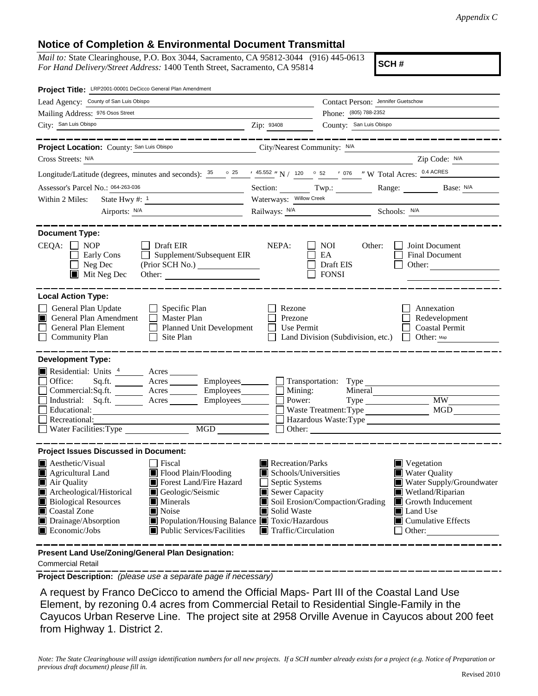## **Notice of Completion & Environmental Document Transmittal**

*Mail to:* State Clearinghouse, P.O. Box 3044, Sacramento, CA 95812-3044 (916) 445-0613 *For Hand Delivery/Street Address:* 1400 Tenth Street, Sacramento, CA 95814

**SCH #**

| Project Title: LRP2001-00001 DeCicco General Plan Amendment                                                                                                                                                                                                                                    |                                                                                                                                                                                                                                                                               |                                                                      |  |  |
|------------------------------------------------------------------------------------------------------------------------------------------------------------------------------------------------------------------------------------------------------------------------------------------------|-------------------------------------------------------------------------------------------------------------------------------------------------------------------------------------------------------------------------------------------------------------------------------|----------------------------------------------------------------------|--|--|
| Lead Agency: County of San Luis Obispo                                                                                                                                                                                                                                                         |                                                                                                                                                                                                                                                                               | Contact Person: Jennifer Guetschow                                   |  |  |
| Mailing Address: 976 Osos Street                                                                                                                                                                                                                                                               |                                                                                                                                                                                                                                                                               | Phone: (805) 788-2352                                                |  |  |
| City: San Luis Obispo                                                                                                                                                                                                                                                                          | Zip: 93408                                                                                                                                                                                                                                                                    | County: San Luis Obispo                                              |  |  |
|                                                                                                                                                                                                                                                                                                |                                                                                                                                                                                                                                                                               |                                                                      |  |  |
| Project Location: County: San Luis Obispo                                                                                                                                                                                                                                                      | City/Nearest Community: N/A                                                                                                                                                                                                                                                   |                                                                      |  |  |
| Cross Streets: N/A                                                                                                                                                                                                                                                                             |                                                                                                                                                                                                                                                                               | Zip Code: N/A                                                        |  |  |
| Longitude/Latitude (degrees, minutes and seconds): $\frac{35}{25}$ $\frac{25}{25}$ $\frac{45.552}{25}$ N / $\frac{120}{25}$ $\frac{652}{25}$ $\frac{1076}{25}$ W Total Acres: $\frac{0.4 \text{ ACRES}}{25}$                                                                                   |                                                                                                                                                                                                                                                                               |                                                                      |  |  |
| Assessor's Parcel No.: 064-263-036<br><u> 1980 - Johann Barbara, martxa a</u>                                                                                                                                                                                                                  |                                                                                                                                                                                                                                                                               | Section: Twp.: Range: Base: N/A                                      |  |  |
| Within 2 Miles:                                                                                                                                                                                                                                                                                | Waterways: Willow Creek                                                                                                                                                                                                                                                       |                                                                      |  |  |
| Airports: <u>N/A</u>                                                                                                                                                                                                                                                                           |                                                                                                                                                                                                                                                                               | Railways: <u>N/A Schools: N/A</u> Schools: N/A                       |  |  |
| <b>Document Type:</b><br>CEQA:<br><b>NOP</b><br>Draft EIR<br>Supplement/Subsequent EIR<br>Early Cons<br>Neg Dec<br>(Prior SCH No.) ________________<br>$\blacksquare$<br>$\blacksquare$ Mit Neg Dec<br>Other:                                                                                  | NEPA:<br>NOI<br>EA<br>Draft EIS<br><b>FONSI</b>                                                                                                                                                                                                                               | Joint Document<br>Other:<br><b>Final Document</b><br>Other:          |  |  |
| <b>Local Action Type:</b><br>General Plan Update<br>Specific Plan<br>Master Plan<br>General Plan Amendment<br>General Plan Element<br>Planned Unit Development<br>Site Plan<br><b>Community Plan</b>                                                                                           | Rezone<br>Prezone<br>Use Permit<br>Land Division (Subdivision, etc.)                                                                                                                                                                                                          | Annexation<br>Redevelopment<br><b>Coastal Permit</b><br>Other: Map   |  |  |
| <b>Development Type:</b><br>Residential: Units 4 Acres<br>Office:<br>Sq.ft. $\_\_\_\_\_\_\_\_\_\_\_\_\_\_\_\_\_\_\_\_$<br>Commercial:Sq.ft. _______ Acres _______ Employees_______<br>Industrial: Sq.ft. Acres Employees<br>Educational:<br>Recreational:<br>MGD<br>Water Facilities: Type     | Mining:<br>Power:                                                                                                                                                                                                                                                             | Mineral<br><b>MW</b><br><b>MGD</b><br>Hazardous Waste:Type<br>Other: |  |  |
| <b>Project Issues Discussed in Document:</b><br><b>Aesthetic/Visual</b><br>  Fiscal<br>Flood Plain/Flooding<br>Agricultural Land<br>Forest Land/Fire Hazard<br>Air Quality<br>Archeological/Historical<br>Geologic/Seismic<br><b>Biological Resources</b><br>Minerals<br>Coastal Zone<br>Noise | Recreation/Parks<br>$\blacksquare$ Vegetation<br>Water Quality<br>Schools/Universities<br>$\Box$ Septic Systems<br>Water Supply/Groundwater<br>Sewer Capacity<br>Wetland/Riparian<br>Soil Erosion/Compaction/Grading<br>Growth Inducement<br>Solid Waste<br><b>I</b> Land Use |                                                                      |  |  |
| Drainage/Absorption<br>■ Population/Housing Balance ■ Toxic/Hazardous<br>$\Box$ Cumulative Effects<br>$\blacksquare$ Economic/Jobs<br>■ Public Services/Facilities<br>$\blacksquare$ Traffic/Circulation<br>$\Box$ Other:<br>Present Land Use/Zoning/General Plan Designation:                 |                                                                                                                                                                                                                                                                               |                                                                      |  |  |

Commercial Retail

**Project Description:** *(please use a separate page if necessary)*

 A request by Franco DeCicco to amend the Official Maps- Part III of the Coastal Land Use Element, by rezoning 0.4 acres from Commercial Retail to Residential Single-Family in the Cayucos Urban Reserve Line. The project site at 2958 Orville Avenue in Cayucos about 200 feet from Highway 1. District 2.